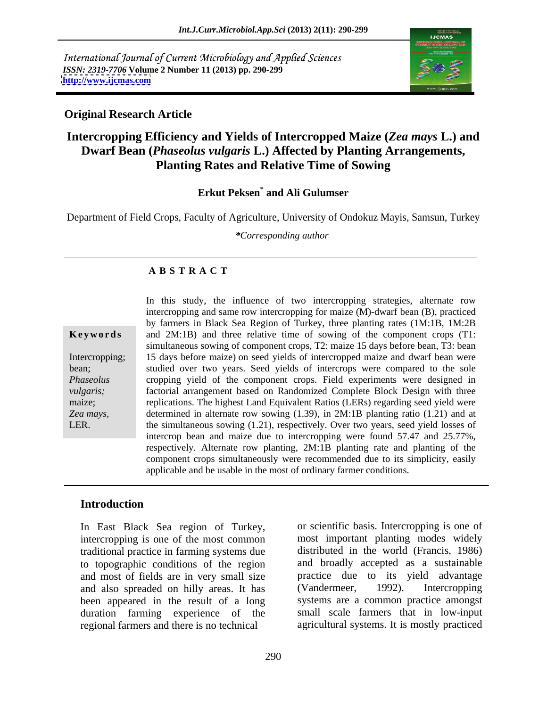International Journal of Current Microbiology and Applied Sciences *ISSN: 2319-7706* **Volume 2 Number 11 (2013) pp. 290-299 <http://www.ijcmas.com>**



#### **Original Research Article**

## **Intercropping Efficiency and Yields of Intercropped Maize (***Zea mays* **L.) and Dwarf Bean (***Phaseolus vulgaris* **L.) Affected by Planting Arrangements, Planting Rates and Relative Time of Sowing**

#### **Erkut Peksen\* and Ali Gulumser**

Department of Field Crops, Faculty of Agriculture, University of Ondokuz Mayis, Samsun, Turkey

*\*Corresponding author* 

#### **A B S T R A C T**

| Keywords |  |  |  |  |  |  |  |
|----------|--|--|--|--|--|--|--|
|----------|--|--|--|--|--|--|--|

*Zea mays,* 

**Keywords** and 2M:1B) and three relative time of sowing of the component crops (T1: Intercropping; 15 days before maize) on seed yields of intercropped maize and dwarf bean were bean; studied over two years. Seed yields of intercrops were compared to the sole *Phaseolus*  cropping yield of the component crops. Field experiments were designed in *vulgaris;*  factorial arrangement based on Randomized Complete Block Design with three maize; replications. The highest Land Equivalent Ratios (LERs) regarding seed yield were LER. the simultaneous sowing (1.21), respectively. Over two years, seed yield losses of In this study, the influence of two intercropping strategies, alternate row intercropping and same row intercropping for maize (M)-dwarf bean (B), practiced by farmers in Black Sea Region of Turkey, three planting rates (1M:1B, 1M:2B simultaneous sowing of component crops, T2: maize 15 days before bean, T3: bean determined in alternate row sowing (1.39), in 2M:1B planting ratio (1.21) and at intercrop bean and maize due to intercropping were found 57.47 and 25.77%, respectively. Alternate row planting, 2M:1B planting rate and planting of the component crops simultaneously were recommended due to its simplicity, easily applicable and be usable in the most of ordinary farmer conditions.

### **Introduction**

In East Black Sea region of Turkey, intercropping is one of the most common traditional practice in farming systems due to topographic conditions of the region and most of fields are in very small size and also spreaded on hilly areas. It has (Vandermeer, 1992). Intercropping been appeared in the result of a long duration farming experience of the regional farmers and there is no technical

or scientific basis. Intercropping is one of most important planting modes widely distributed in the world (Francis, 1986) and broadly accepted as a sustainable practice due to its yield advantage (Vandermeer, 1992). Intercropping systems are a common practice amongst small scale farmers that in low-input agricultural systems. It is mostly practiced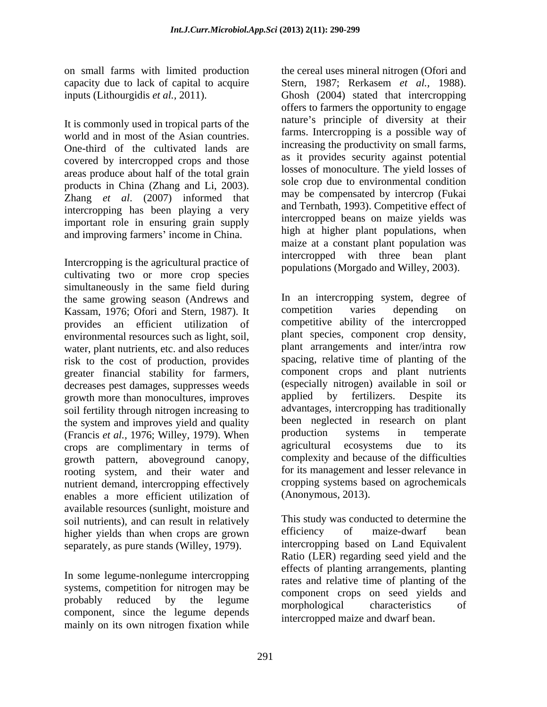It is commonly used in tropical parts of the world and in most of the Asian countries. One-third of the cultivated lands are covered by intercropped crops and those areas produce about half of the total grain products in China (Zhang and Li, 2003). Zhang *et al*. (2007) informed that intercropping has been playing a very important role in ensuring grain supply and improving farmers' income in China.

Intercropping is the agricultural practice of cultivating two or more crop species simultaneously in the same field during the same growing season (Andrews and In an intercropping system, degree of Kassam 1976; Ofori and Stern 1987) It competition varies depending on Kassam, 1976; Ofori and Stern, 1987). It environmental resources such as light, soil, water, plant nutrients, etc. and also reduces risk to the cost of production, provides greater financial stability for farmers, decreases pest damages, suppresses weeds (especially nitrogen) available in so<br>
orowth more than monocultures, improves applied by fertilizers. Despite growth more than monocultures, improves applied by fertilizers. Despite its soil fertility through nitrogen increasing to the system and improves yield and quality been neglected in research on plant<br>(Francis et al. 1976: Willey 1979) When production systems in temperate (Francis *et al.*, 1976; Willey, 1979). When production systems in temperate crops are complimentary in terms of agricultural ecosystems due to its crops are complimentary in terms of growth pattern, aboveground canopy, rooting system, and their water and nutrient demand, intercropping effectively enables a more efficient utilization of available resources (sunlight, moisture and soil nutrients), and can result in relatively<br>higher vields than when crops are grown efficiency of maize-dwarf bean higher yields than when crops are grown separately, as pure stands (Willey, 1979).

In some legume-nonlegume intercropping systems, competition for nitrogen may be probably reduced by the legume morphological characteristics of component, since the legume depends mainly on its own nitrogen fixation while

on small farms with limited production the cereal uses mineral nitrogen (Ofori and capacity due to lack of capital to acquire Stern, 1987; Rerkasem *et al.,* 1988). inputs (Lithourgidis *et al.,* 2011). Ghosh (2004) stated that intercropping offers to farmers the opportunity to engage nature's principle of diversity at their farms. Intercropping is a possible way of increasing the productivity on small farms, as it provides security against potential losses of monoculture. The yield losses of sole crop due to environmental condition may be compensated by intercrop (Fukai and Ternbath, 1993). Competitive effect of intercropped beans on maize yields was high at higher plant populations, when maize at a constant plant population was intercropped with three bean plant populations (Morgado and Willey, 2003).

provides an efficient utilization of competitive ability of the intercropped In an intercropping system, degree of competition varies depending on plant species, component crop density, plant arrangements and inter/intra row spacing, relative time of planting of the component crops and plant nutrients (especially nitrogen) available in soil or applied by fertilizers. Despite its advantages, intercropping has traditionally been neglected in research on plant production systems in temperate agricultural ecosystems due to its complexity and because of the difficulties for its management and lesser relevance in cropping systems based on agrochemicals (Anonymous, 2013).

probably reduced by the legume component crops on seed following This study was conducted to determine the efficiency of maize-dwarf bean intercropping based on Land Equivalent Ratio (LER) regarding seed yield and the effects of planting arrangements, planting rates and relative time of planting of the component crops on seed yields and morphological characteristics of intercropped maize and dwarf bean.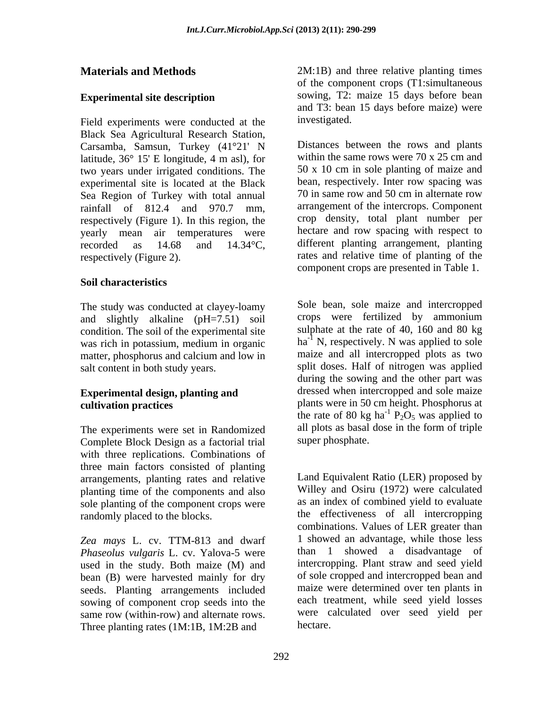### **Experimental site description**

Field experiments were conducted at the investigated. Black Sea Agricultural Research Station, Carsamba, Samsun, Turkey (41°21' N latitude, 36° 15' E longitude, 4 m asl), for two years under irrigated conditions. The experimental site is located at the Black bean, respectively. Inter row spacing was<br>Sea Region of Turkey with total annual 70 in same row and 50 cm in alternate row Sea Region of Turkey with total annual respectively (Figure 1). In this region, the yearly mean air temperatures were

### **Soil characteristics**

The study was conducted at clayey-loamy and slightly alkaline (pH=7.51) soil condition. The soil of the experimental site was rich in potassium, medium in organic matter, phosphorus and calcium and low in

# **Experimental design, planting and**

The experiments were set in Randomized Complete Block Design as a factorial trial with three replications. Combinations of three main factors consisted of planting arrangements, planting rates and relative planting time of the components and also sole planting of the component crops were

*Zea mays* L. cv. TTM-813 and dwarf *Phaseolus vulgaris* L. cv. Yalova-5 were used in the study. Both maize (M) and bean (B) were harvested mainly for dry seeds. Planting arrangements included sowing of component crop seeds into the same row (within-row) and alternate rows. Three planting rates (1M:1B, 1M:2B and

**Materials and Methods** 2M:1B) and three relative planting times of the component crops (T1:simultaneous sowing, T2: maize 15 days before bean and T3: bean 15 days before maize) were investigated.

rainfall of 812.4 and 970.7 mm, arrangement of the intercrops. Component recorded as 14.68 and 14.34°C, different planting arrangement, planting respectively (Figure 2). rates and relative time of planting of the Distances between the rows and plants within the same rows were 70 x 25 cm and 50 x 10 cm in sole planting of maizeand bean, respectively. Inter row spacing was 70 in same row and 50 cm in alternate row crop density, total plant number per hectare and row spacing with respect to component crops are presented in Table 1.

salt content in both study years. Split doses. Half of nitrogen was applied **cultivation practices** plants were in 50 cm height. Phosphorus at Sole bean, sole maize and intercropped crops were fertilized by ammonium sulphate at the rate of 40, 160 and 80 kg  $ha^{-1}$  N, respectively. N was applied to sole maize and all intercropped plots as two during the sowing and the other part was dressed when intercropped and sole maize the rate of 80 kg ha<sup>-1</sup>  $P_2O_5$  was applied to  $^{-1}$  P<sub>2</sub>O<sub>5</sub> was applied to all plots as basal dose in the form of triple super phosphate.

randomly placed to the blocks. the effectiveness of all intercropping Land Equivalent Ratio (LER) proposed by Willey and Osiru (1972) were calculated as an index of combined yield to evaluate combinations. Values of LER greater than 1 showed an advantage, while those less than 1 showed a disadvantage of intercropping. Plant straw and seed yield of sole cropped and intercropped bean and maize were determined over ten plants in each treatment, while seed yield losses were calculated over seed yield per hectare.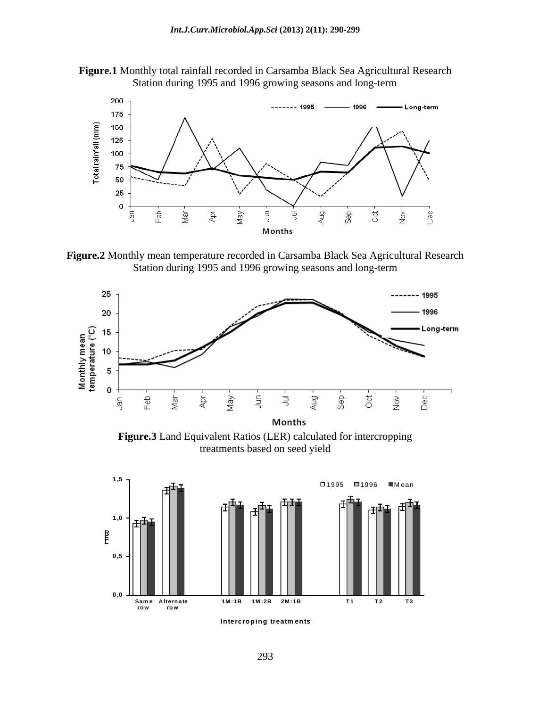



**Figure.2** Monthly mean temperature recorded in Carsamba Black Sea Agricultural Research Station during 1995 and 1996 growing seasons and long-term



**Figure.3** Land Equivalent Ratios (LER) calculated for intercropping treatments based on seed yield



**Intercroping treatm ents**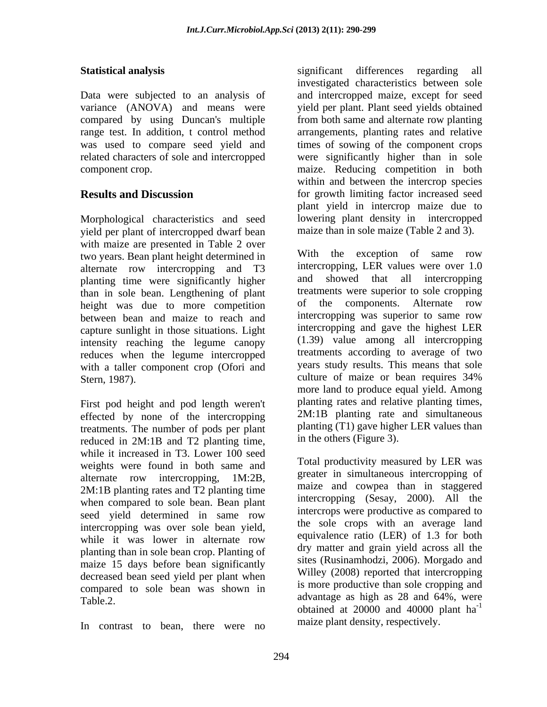variance (ANOVA) and means were

Morphological characteristics and seed yield per plant of intercropped dwarf bean with maize are presented in Table 2 over two years. Bean plant height determined in alternate row intercropping and T3 planting time were significantly higher than in sole bean. Lengthening of plant height was due to more competition between bean and maize to reach and capture sunlight in those situations. Light intensity reaching the legume canopy reduces when the legume intercropped with a taller component crop (Ofori and Stern, 1987). Culture of maize or bean requires 34%

First pod height and pod length weren't effected by none of the intercropping treatments. The number of pods per plant reduced in 2M:1B and T2 planting time, while it increased in T3. Lower 100 seed weights were found in both same and 2M:1B planting rates and T2 planting time when compared to sole bean. Bean plant seed yield determined in same row intercropping was over sole bean yield, while it was lower in alternate row planting than in sole bean crop. Planting of maize 15 days before bean significantly decreased bean seed yield per plant when compared to sole bean was shown in

In contrast to bean, there were no

**Statistical analysis** Significant differences regarding all Data were subjected to an analysis of and intercropped maize, except for seed compared by using Duncan's multiple from both same and alternate row planting range test. In addition, t control method arrangements, planting rates and relative was used to compare seed yield and times of sowing of the component crops related characters of sole and intercropped were significantly higher than in sole component crop. maize. Reducing competition in both **Results and Discussion** for growth limiting factor increased seed significant differences regarding all investigated characteristics between sole yield per plant. Plant seed yields obtained within and between the intercrop species plant yield in intercrop maize due to lowering plant density in intercropped maize than in sole maize (Table 2 and 3).

> With the exception of same row intercropping, LER values were over 1.0 showed that all intercropping treatments were superior to sole cropping of the components. Alternate row intercropping was superior to same row intercropping and gave the highest LER (1.39) value among all intercropping treatments according to average of two years study results. This means that sole culture of maize or bean requires 34% more land to produce equal yield. Among planting rates and relative planting times, 2M:1B planting rate and simultaneous planting (T1) gave higher LER values than in the others (Figure 3).

alternate row intercropping, 1M:2B, greater in simulations intercropping of Table.2. Table.2.  $\frac{3.56 \times 10^{11} \text{ m}}{200000 \text{ m}^2}$  advantage as high as 28 and 64%, were Total productivity measured by LER was greater in simultaneous intercropping of maize and cowpea than in staggered intercropping (Sesay, 2000). All the intercrops were productive as compared to the sole crops with an average land equivalence ratio (LER) of 1.3 for both dry matter and grain yield across all the sites (Rusinamhodzi, 2006). Morgado and Willey (2008) reported that intercropping is more productive than sole cropping and obtained at 20000 and 40000 plant ha -1 maize plant density, respectively.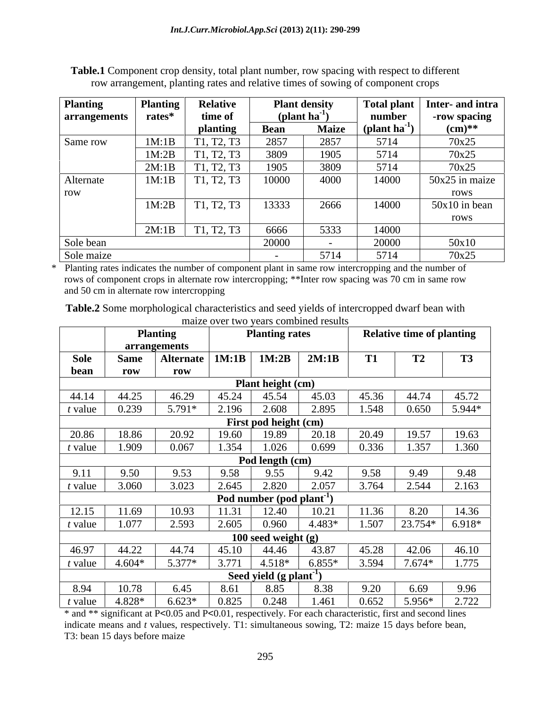| <b>Planting</b> | <b>Planting</b> | <b>Relative</b>                                  |                           | <b>Plant density</b>     | <b>Total plant</b>           | Inter- and intra |
|-----------------|-----------------|--------------------------------------------------|---------------------------|--------------------------|------------------------------|------------------|
| arrangements    | rates*          | time of                                          | (plant ha <sup>-1</sup> ) |                          | number                       | -row spacing     |
|                 |                 | planting                                         | <b>Bean</b>               | <b>Maize</b>             | $\text{(plant ha}^1\text{)}$ | $(cm)**$         |
| Same row        | 1M:1B           | T <sub>1</sub> , T <sub>2</sub> , T <sub>3</sub> | 2857                      | 2857                     | 5714                         | 70x25            |
|                 | 1M:2B           | T1, T2, T3                                       | 3809                      | 1905                     | 5714                         | 70x25            |
|                 | 2M:1B           | Γ1, T2, T3                                       | 1905                      | 3809                     | 5714                         | 70x25            |
| Alternate       | 1M:1B           | T1, T2, T3                                       | 10000                     | 4000                     | 14000                        | $50x25$ in maize |
| row             |                 |                                                  |                           |                          |                              | rows             |
|                 | 1M:2B           | T1, T2, T3                                       | 13333                     | 2666                     | 14000                        | $50x10$ in bean  |
|                 |                 |                                                  |                           |                          |                              | rows             |
|                 | 2M:1B           | T1, T2, T3                                       | 6666                      | 5333                     | 14000                        |                  |
| Sole bean       |                 |                                                  | 20000                     | $\overline{\phantom{0}}$ | 20000                        | 50x10            |
| Sole maize      |                 |                                                  | $\overline{\phantom{0}}$  | 5714                     | 5714                         | 70x25            |

**Table.1** Component crop density, total plant number, row spacing with respect to different row arrangement, planting rates and relative times of sowing of component crops

\* Planting rates indicates the number of component plant in same row intercropping and the number of rows of component crops in alternate row intercropping; \*\*Inter row spacing was 70 cm in same row and 50 cm in alternate row intercropping

**Table.2** Some morphological characteristics and seed yields of intercropped dwarf bean with maize over two years combined results

| <b>Sole</b><br><b>Same</b><br>bean<br>row<br>44.14<br>44.25<br>$t$ value<br>0.239<br>20.86<br>18.86<br>$t$ value<br>1.909 | arrangements<br><b>Alternate</b><br>row<br>46.29<br>$5.791*$ | 1M:1B | 1M:2B                                 | 2M:1B    | T <sub>1</sub> | T2       | <b>T3</b> |
|---------------------------------------------------------------------------------------------------------------------------|--------------------------------------------------------------|-------|---------------------------------------|----------|----------------|----------|-----------|
|                                                                                                                           |                                                              |       |                                       |          |                |          |           |
|                                                                                                                           |                                                              |       |                                       |          |                |          |           |
|                                                                                                                           |                                                              |       |                                       |          |                |          |           |
|                                                                                                                           |                                                              |       | <b>Plant height (cm)</b>              |          |                |          |           |
|                                                                                                                           |                                                              | 45.24 | 45.54                                 | 45.03    | 45.36          | 44.74    | 45.72     |
|                                                                                                                           |                                                              | 2.196 | 2.608                                 | 2.895    | 1.548          | 0.650    | 5.944*    |
|                                                                                                                           |                                                              |       | First pod height (cm)                 |          |                |          |           |
|                                                                                                                           | 20.92                                                        | 19.60 | 19.89                                 | 20.18    | 20.49          | 19.57    | 19.63     |
|                                                                                                                           | 0.067                                                        | 1.354 | 1.026                                 | 0.699    | 0.336          | 1.357    | 1.360     |
|                                                                                                                           |                                                              |       | Pod length (cm)                       |          |                |          |           |
| 9.50<br>9.11                                                                                                              | 9.53                                                         | 9.58  | 9.55                                  | 9.42     | 9.58           | 9.49     | 9.48      |
| $t$ value<br>3.060                                                                                                        | 3.023                                                        | 2.645 | 2.820                                 | 2.057    | 3.764          | 2.544    | 2.163     |
|                                                                                                                           |                                                              |       | Pod number (pod plant <sup>-1</sup> ) |          |                |          |           |
| 12.15<br>11.69                                                                                                            | 10.93                                                        | 11.31 | 12.40                                 | 10.21    | 11.36          | 8.20     | 14.36     |
| 1.077<br>$t$ value                                                                                                        | 2.593                                                        | 2.605 | 0.960                                 | 4.483*   | 1.507          | 23.754*  | $6.918*$  |
|                                                                                                                           |                                                              |       | 100 seed weight $(g)$                 |          |                |          |           |
| 46.97<br>44.22                                                                                                            | 44.74                                                        | 45.10 | 44.46                                 | 43.87    | 45.28          | 42.06    | 46.10     |
| $4.604*$<br>$t$ value                                                                                                     | 5.377*                                                       | 3.771 | $4.518*$                              | $6.855*$ | 3.594          | $7.674*$ | 1.775     |
|                                                                                                                           |                                                              |       | Seed yield $(g$ plant <sup>-1</sup> ) |          |                |          |           |
| 10.78<br>8.94                                                                                                             | 6.45                                                         | 8.61  | 8.85                                  | 8.38     | 9.20           | 6.69     | 9.96      |
| 4.828*<br>t value                                                                                                         |                                                              |       |                                       |          |                |          |           |

\* and \*\* significant at P<0.05 and P<0.01, respectively. For each characteristic, first and second lines indicate means and *t* values, respectively. T1: simultaneous sowing, T2: maize 15 days before bean, T3: bean 15 days before maize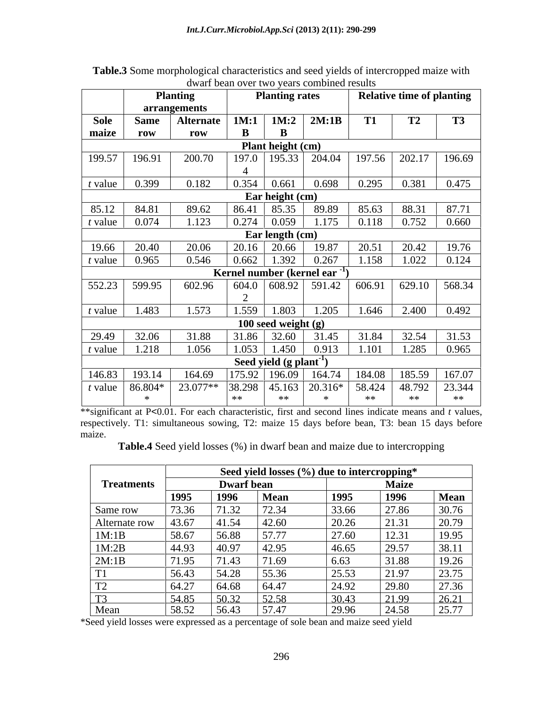|           |                   | <b>Planting</b>  |          | <b>Planting rates</b>                 |                                                                          |           | <b>Relative time of planting</b>                                       |           |
|-----------|-------------------|------------------|----------|---------------------------------------|--------------------------------------------------------------------------|-----------|------------------------------------------------------------------------|-----------|
|           |                   | arrangements     |          |                                       |                                                                          |           |                                                                        |           |
| Sole      | <b>Same</b>       | <b>Alternate</b> | 1M:1     | 1M:2                                  | 2M:1B                                                                    | <b>T1</b> | T2                                                                     | <b>T3</b> |
| maize     | row               | row              | $\bf{B}$ | B                                     |                                                                          |           |                                                                        |           |
|           |                   |                  |          | Plant height (cm)                     |                                                                          |           |                                                                        |           |
| 199.57    | 196.91            | 200.70           |          |                                       | 197.0   195.33   204.04   197.56                                         |           | 202.17                                                                 | 196.69    |
| $t$ value | 0.399             | 0.182            | 0.354    | 0.661                                 | 0.698                                                                    | 0.295     | 0.381                                                                  | 0.475     |
|           |                   |                  |          | Ear height (cm)                       |                                                                          |           |                                                                        |           |
| 85.12     | 84.81             | 89.62            |          | $86.41$ 85.35                         | 89.89                                                                    | 85.63     | 88.31                                                                  | 87.71     |
| t value   | 0.074             | 1.123            |          | $0.274$ 0.059                         | 1.175                                                                    | 0.118     | 0.752                                                                  | 0.660     |
|           |                   |                  |          | Ear length (cm)                       |                                                                          |           |                                                                        |           |
| 19.66     | 20.40             | 20.06            |          | $20.16$ 20.66                         | 19.87                                                                    | 20.51     | 20.42                                                                  | 19.76     |
| $t$ value | 0.965             | 0.546            | 0.662    | 1.392                                 | 0.267                                                                    | 1.158     | 1.022                                                                  | 0.124     |
|           |                   |                  |          |                                       | Kernel number (kernel ear                                                |           |                                                                        |           |
| 552.23    | 599.95            | 602.96           |          |                                       | $604.0$ 608.92 591.42                                                    | 606.91    | $\begin{array}{ c c c c c } \hline 629.10 & 568.34 \hline \end{array}$ |           |
|           |                   |                  |          |                                       |                                                                          |           |                                                                        |           |
| $t$ value | 1.483             | 1.573            | 1.559    | 1.803                                 | 1.205                                                                    | 1.646     | 2.400                                                                  | 0.492     |
|           |                   |                  |          | 100 seed weight $(g)$                 |                                                                          |           |                                                                        |           |
| 29.49     | 32.06             | 31.88            |          | $31.86$ 32.60                         | 31.45                                                                    | 31.84     | 32.54                                                                  | 31.53     |
| $t$ value | 1.218             | 1.056            |          | $1.053$   1.450                       | 0.913                                                                    | 1.101     | 1.285                                                                  | 0.965     |
|           |                   |                  |          | Seed yield $(g$ plant <sup>-1</sup> ) |                                                                          |           |                                                                        |           |
| 146.83    | 193.14            | 164.69           |          |                                       | $\vert 175.92 \vert 196.09 \vert 164.74 \vert 184.08 \vert 185.59 \vert$ |           |                                                                        | 167.07    |
|           | t value $86.804*$ | 23.077**         |          |                                       | $ 38.298 45.163 20.316* 58.424$                                          |           | 48.792                                                                 | 23.344    |
|           |                   |                  | **       | **                                    |                                                                          | **        | **                                                                     | **        |

**Table.3** Some morphological characteristics and seed yields of intercropped maize with dwarf bean over two years combined results

\*\*significant at P<0.01. For each characteristic, first and second lines indicate means and *t* values, respectively. T1: simultaneous sowing, T2: maize 15 days before bean, T3: bean 15 days before maize.

**Table.4** Seed yield losses (%) in dwarf bean and maize due to intercropping

|                                 |       |                   | Seed yield losses (%) due to intercropping* |       |              |                |
|---------------------------------|-------|-------------------|---------------------------------------------|-------|--------------|----------------|
| <b>Treatments</b>               |       | <b>Dwarf</b> bean |                                             |       | <b>Maize</b> |                |
|                                 | 1995  | 1996              | <b>Mean</b>                                 | 1995  | 1996         | Mean           |
| Same row                        | 73.36 | 71.32             | 72.34                                       | 33.66 | 27.86        | 30.76          |
| Alternate row                   | 43.67 | 41.54             | 42.60                                       | 20.26 | 21.31        | 20.70<br>20.19 |
| 1M:1B                           | 58.67 | 56.88             | 57.77                                       | 27.60 | 12.31        | 19.95          |
| 1M:2B                           | 44.93 | 40.97             | 42.95                                       | 46.65 | 29.57        | 38.11          |
| 2M:1B                           | 71.95 | 71.43             | 1.69                                        | 6.63  | 31.88        | 19.26          |
| $T = 1$                         | 56.43 | 54.28             | 55.36                                       | 25.53 | 21.97        | 23.75          |
| T <sup>2</sup><br>$\perp$       | 64.27 | 64.68             | 64.47                                       | 24.92 | 29.80        | 27.36          |
| T <sup>2</sup><br><u>__ 1 J</u> | 54.85 | 50.32             | 52.58                                       | 30.43 | 21.99        | 2621<br>20.41  |
| Mear                            | 58.52 | 56.43             | 57.47                                       | 29.96 | 24.58        | 25.77          |

\*Seed yield losses were expressed as a percentage of sole bean and maize seed yield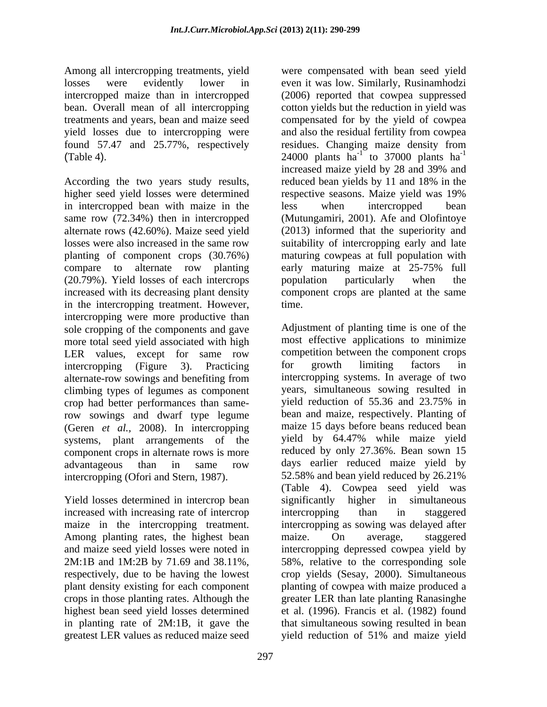Among all intercropping treatments, yield were compensated with bean seed yield found 57.47 and 25.77%, respectively residues. Changing maize density from

higher seed yield losses were determined respective seasons. Maize yield was 19% in intercropped bean with maize in the less when intercropped bean same row (72.34%) then in intercropped (Mutungamiri, 2001). Afe and Olofintoye alternate rows (42.60%). Maize seed yield (2013) informed that the superiority and losses were also increased in the same row suitability of intercropping early and late planting of component crops (30.76%) maturing cowpeas at full population with compare to alternate row planting early maturing maize at 25-75% full (20.79%). Yield losses of each intercrops bould particularly when the increased with its decreasing plant density component crops are planted at the same in the intercropping treatment. However, intercropping were more productive than sole cropping of the components and gave more total seed yield associated with high LER values, except for same row competition between the component crops intercropping (Figure 3). Practicing alternate-row sowings and benefiting from climbing types of legumes as component crop had better performances than samerow sowings and dwarf type legume (Geren *et al.*, 2008). In intercropping maize 15 days before beans reduced bean<br>systems plant arrangements of the vield by 64.47% while maize yield systems, plant arrangements of the component crops in alternate rows is more advantageous than in same row intercropping (Ofori and Stern, 1987).

Yield losses determined in intercrop bean significantly higher in simultaneous increased with increasing rate of intercroping intercropping than in staggered Among planting rates, the highest bean maize. On average, staggered 2M:1B and 1M:2B by 71.69 and 38.11%, in planting rate of 2M:1B, it gave the greatest LER values as reduced maize seed vield reduction of 51% and maize yield

losses were evidently lower in even it was low. Similarly, Rusinamhodzi intercropped maize than in intercropped (2006) reported that cowpea suppressed bean. Overall mean of all intercropping cotton yields but the reduction in yield was treatments and years, bean and maize seed compensated for by the yield of cowpea yield losses due to intercropping were and also the residual fertility from cowpea (Table 4).  $24000$  plants ha<sup>-1</sup> to 37000 plants ha<sup>-1</sup><br>increased maize yield by 28 and 39% and<br>According the two years study results, reduced bean yields by 11 and 18% in the residues. Changing maize density from 24000 plants  $ha^{-1}$  to 37000 plants  $ha^{-1}$ to 37000 plants  $ha^{-1}$ -1 increased maize yield by 28 and 39% and reduced bean yields by 11 and 18% in the respective seasons. Maize yield was 19% less when intercropped bean early maturing maize at 25-75% full population particularly when the time.

maize in the intercropping treatment. intercropping as sowing was delayed after and maize seed yield losses were noted in intercropping depressed cowpea yield by respectively, due to be having the lowest crop yields (Sesay, 2000). Simultaneous plant density existing for each component planting of cowpea with maize produced a crops in those planting rates. Although the greater LER than late planting Ranasinghe highest bean seed yield losses determined et al. (1996). Francis et al. (1982) found Adjustment of planting time is one of the most effective applications to minimize competition between the component crops for growth limiting factors in intercropping systems. In average of two years, simultaneous sowing resulted in yield reduction of 55.36 and 23.75% in bean and maize, respectively. Planting of maize 15 days before beans reduced bean yield by 64.47% while maize yield reduced by only 27.36%. Bean sown 15 days earlier reduced maize yield by 52.58% and bean yield reduced by 26.21% (Table 4). Cowpea seed yield was significantly higher in simultaneous intercropping than in staggered maize. On average, staggered 58%, relative to the corresponding sole that simultaneous sowing resulted in bean yield reduction of 51% and maize yield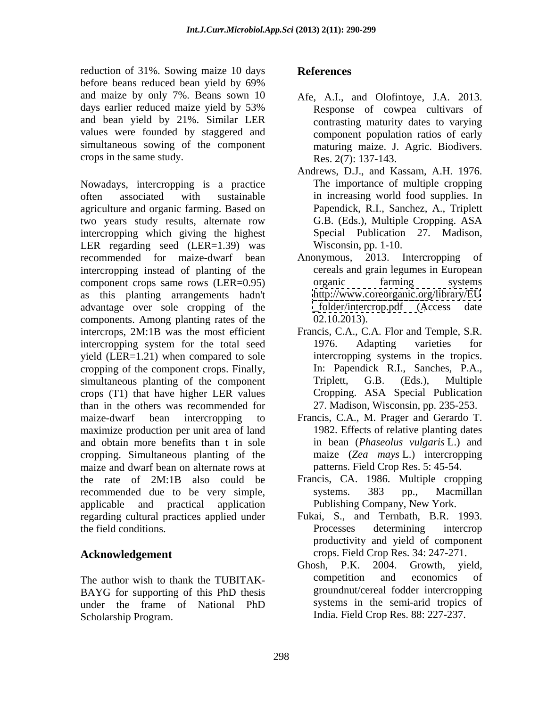reduction of 31%. Sowing maize 10 days<br>before beans reduced bean yield by 69% before beans reduced bean yield by 69% and maize by only 7%. Beans sown 10 Afe, A.I., and Olofintoye, J.A. 2013. and bean yield by 21%. Similar LER values were founded by staggered and simultaneous sowing of the component crops in the same study.

Nowadays, intercropping is a practice often associated with sustainable in increasing world food supplies. In agriculture and organic farming. Based on two years study results, alternate row intercropping which giving the highest LER regarding seed (LER=1.39) was recommended for maize-dwarf bean Anonymous, 2013. Intercropping of intercropping instead of planting of the component crops same rows (LER=0.95) organic farming systems as this planting arrangements hadn't advantage over sole cropping of the components. Among planting rates of the intercrops, 2M:1B was the most efficient Francis, C.A., C.A. Flor and Temple, S.R. intercropping system for the total seed 1976. Adapting varieties for yield (LER=1.21) when compared to sole cropping of the component crops. Finally, simultaneous planting of the component Triplett, G.B. (Eds.), Multiple crops (T1) that have higher LER values than in the others was recommended for maize-dwarf bean intercropping to Francis, C.A., M. Prager and Gerardo T. maximize production per unit area of land and obtain more benefits than t in sole cropping. Simultaneous planting of the maize and dwarf bean on alternate rows at the rate of 2M:1B also could be Francis, CA. 1986. Multiple cropping recommended due to be very simple, systems. 383 pp., Macmillan applicable and practical application Publishing Company, New York. regarding cultural practices applied under the field conditions.

BAYG for supporting of this PhD thesis Scholarship Program. India. Field Crop Res. 88: 227-237.

### **References**

- days earlier reduced maize yield by 53% Response of cowpea cultivars of Response of cowpea cultivars of contrasting maturity dates to varying component population ratios of early maturing maize. J. Agric. Biodivers. Res. 2(7): 137-143.
	- Andrews, D.J., and Kassam, A.H. 1976. The importance of multiple cropping Papendick, R.I., Sanchez, A., Triplett G.B. (Eds.), Multiple Cropping. ASA Special Publication 27. Madison, Wisconsin, pp. 1-10.
	- Anonymous, 2013. Intercropping cereals and grain legumes in European organic farming systems <http://www.coreorganic.org/library/EU>  $folder/intercop.pdf$  (Access 02.10.2013).
	- Francis, C.A., C.A. Flor and Temple, S.R.<br>1976. Adapting varieties for intercropping systems in the tropics. In: Papendick R.I., Sanches, P.A., Triplett, G.B. (Eds.), Multiple Cropping. ASA Special Publication 27. Madison, Wisconsin, pp. 235-253.
	- 1982. Effects of relative planting dates in bean (*Phaseolus vulgaris* L.) and maize (*Zea mays* L.) intercropping patterns. Field Crop Res. 5: 45-54.
	- systems. 383 pp., Macmillan
- **Acknowledgement**  crops. Field Crop Res. 34: 247-271. Fukai, S., and Ternbath, B.R. 1993. Processes determining intercrop productivity and yield of component
- The author wish to thank the TUBITAK-<br>competition and economics of under the frame of National PhD Ghosh, P.K. 2004. Growth, yield, competition and economics of groundnut/cereal fodder intercropping systems in the semi-arid tropics of